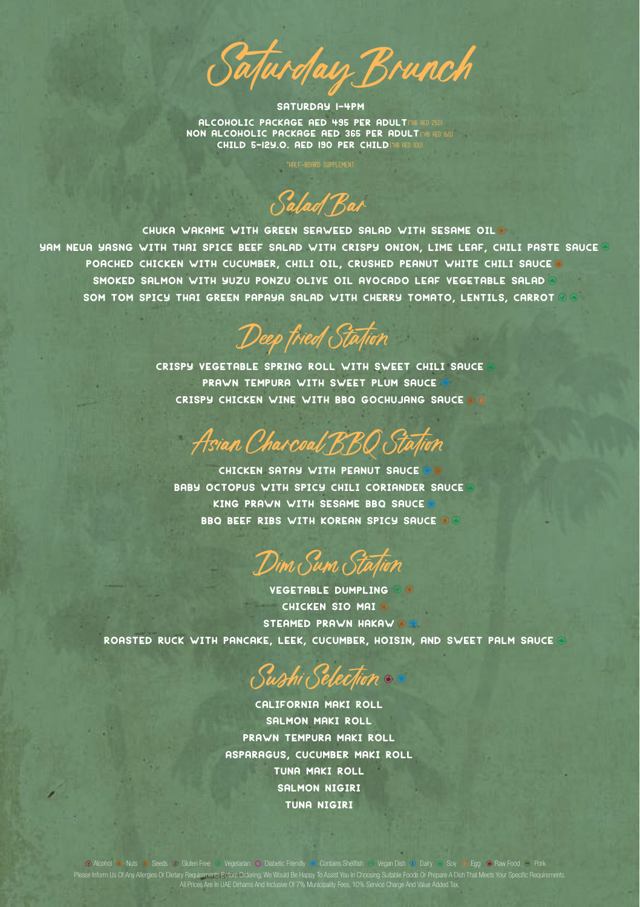SATURDAY BITURDAY BATURDAY<br>
SATURDAY 1-4PM<br>
ALCOHOLIC PACKAGE AED 495 PER ADULT<br>
CHILD 5-12Y.O. AED 190 PER CHILD<br>
HALL SATURDAY 1-40000 SUPILMENT

Salad Bar

CHUKA WAKAME WITH GREEN SEAWEED SALAD WITH SESAME OIL YAM NEUA YASNG WITH THAI SPICE BEEF SALAD WITH CRISPY ONION. LIME LEAF, CHILI PASTE SAUCE O POACHED CHICKEN WITH CUCUMBER, CHILI OIL, CRUSHED PEANUT WHITE CHILI SAUCE @ SMOKED SALMON WITH YUZU PONZU OLIVE OIL AVOCADO LEAF VEGETABLE SALAD SOM TOM SPICY THAI GREEN PAPAYA SALAD WITH CHERRY TOMATO, LENTILS, CARROT OG

Deep *fried Station*<br>CRISPY VEGETABLE SPRING ROLL WITH SWEET CHILI SAUCE<br>PRAWN TEMPURA WITH SWEET PLUM SAUCE *Deep fried Station*<br>Estable spring roll with sweet chil<br>Prawn tempura with sweet plum sauce<br>Py chicken wine with bbo gochujang s CRISPY VEGETABLE SPRING ROLL WITH SWEET CHILI SAUCE<br>PRAWN TEMPURA WITH SWEET PLUM SAUCE

VAN *Chai coal BBQ Stall*<br>Chicken satay with peanut sauce<br>Topus with spicy chili coriander Asia*n Chapcoal BBQ Station*<br>Chicken satay with peanut sauce<br>Baby octopus with spicy chili coriander sauce<br>King prawn with sesame bbq sauce **TRAN CARACOON DDU OUAN**<br>CHICKEN SATAY WITH PEANUT SAUCE<br>CTOPUS WITH SPICY CHILI CORIANDER<br>KING PRAWN WITH SESAME BBQ SAUCE CHICKEN SATAY WITH PEANUT SAUCE OF OCTOPUS WITH SPICY CHILI CORIANDER S<br>KING PRAWN WITH SESAME BBO SAUCE<br>BBO BEEF RIBS WITH KOREAN SPICY SAUCE

VIM *Sum Statil*<br>Vegetable dumpling<br>Chicken sio mai Dim Sum Sta<sub>t</sub>ion

M *Sum Staq*<br>getable dumplin<br>chicken sio mai<br>iamed prawn haka JIM OUM OLAANT VEGETABLE DUMPLING ◎ ◎<br>CHICKEN SIO MAI ◎<br>ROASTED RUCK WITH PANCAKE, LEEK, CUCUMBER, HOISIN, AND SWEET PALM SAUCE ◎

Sushi Selection KE, EEK, COOMBER, M<br>*Subhi Selection*<br>CALIFORNIA MAKI ROLL<br>SALMON MAKI ROLL

W*Whi Selection*<br>hlifornia maki rol<br>salmon maki roll<br>wn tempura maki ro OUT OUT OUT AND THE SALIFORNIA MAKI ROLL<br>SALMON MAKI ROLL<br>PRAWN TEMPURA MAKI ROLL<br>PRAGUS, CUCUMBER MAKI ROLL CALIFORNIA MAKI ROLL<br>SALMON MAKI ROLL<br>PRAWN TEMPURA MAKI ROLL<br>ASPARAGUS, CUCUMBER MAKI ROLL<br>TUNA MAKI ROLL ALMON MAKI ROL<br>N TEMPURA MAKI<br>N TEMPURA MAKI<br>TUNA MAKI ROLL<br>SALMON NIGIRI I TEMPURA MAKI<br>IS, CUCUMBER MA<br>TUNA MAKI ROLL<br>SALMON NIGIRI<br>TUNA NIGIRI ), CUCUMBER<br>JNA MAKI RO<br>ALMON NIGIRI<br>TUNA NIGIRI

Please Inform Us Of Any Allergies Or Dietary Requirements Before Ordering. We Would Be Happy To Assist You In Choosing Suitable Foods Or Prepare A Dish That Meets Your Specific Requirements.<br>All Prices Are In UAE Dirhams A Alcohol O Nuts O Seeds © Gluten Free O Vegetarian O Diabetic Friendly © Contains Shellfish © Vegan Dish 10 Dairy © Soy © Egg © Raw Food  $\,\odot$  Pork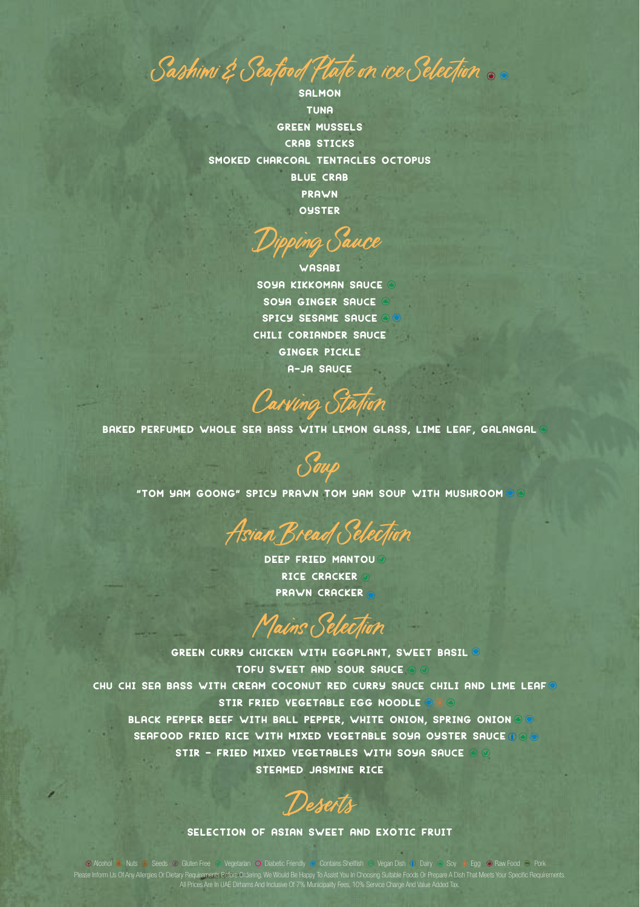Sashimi & Seafood Plate on ice Selection.

**SALMON TUNA GREEN MUSSELS CRAB STICKS** SMOKED CHARCOAL TENTACLES OCTOPUS **BLUE CRAB** PRAWN OUSTER

**WASABI** SOYA KIKKOMAN SAUCE SOYA GINGER SAUCE SPICY SESAME SAUCE CHILI CORIANDER SAUCE **GINGER PICKLE** A-JA SAUCE

Carving Station

BAKED PERFUMED WHOLE SEA BASS WITH LEMON GLASS, LIME LEAF, GALANGAL

"TOM YAM GOONG" SPICY PRAWN TOM YAM SOUP WITH MUSHROOM

Asian Bread Selection

**DEEP FRIED MANTOU® RICE CRACKER PRAWN CRACKER** 

Mains Selection

GREEN CURRY CHICKEN WITH EGGPLANT, SWEET BASIL TOFU SWEET AND SOUR SAUCE CHU CHI SEA BASS WITH CREAM COCONUT RED CURRY SAUCE CHILI AND LIME LEAF STIR FRIED VEGETABLE EGG NOODLE BLACK PEPPER BEEF WITH BALL PEPPER, WHITE ONION, SPRING ONION OF SEAFOOD FRIED RICE WITH MIXED VEGETABLE SOYA OYSTER SAUCE 0 0 STIR - FRIED MIXED VEGETABLES WITH SOYA SAUCE @ @ STEAMED JASMINE RICE

Deserts

## SELECTION OF ASIAN SWEET AND EXOTIC FRUIT

O Alcohol <sup>o</sup> Nuts o Seeds o Gluten Free o Vegetarian O Diabetic Friendy o Contains Shellfish o Vegen Distripublish Dairy o Soy or Egg o Raw Food o Pork<br>Le Inform Us Of Any Allergies Or Dietary Requirements Before Ordering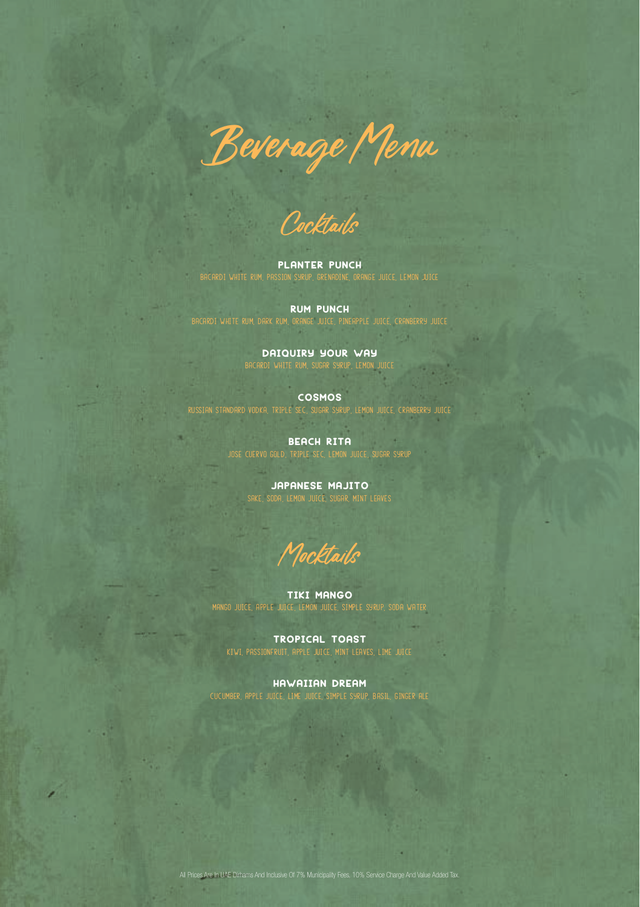Beverage Menu

Cocktails<br>planter punch<br>sion shaip, or

BACARDI WHITE RUM, PASSION SYRUP, GRENADINE, ORANGE JUICE, LEMON JUICE<br>-<br>-

**ANTER PUN<br>I SYRUP, GRENADINE<br>RUM PUNCH<br>ORANGE JUICE, PIN** BACARDI WHITE RUM, DARK RUM, ORANGE JUICE, PINEAPPLE JUICE, CRANBERRY JUICE<br>.

**RUM PUNCH<br>ARK RUM, ORANGE JUICE, PINEAPPLE J<br>DAIQUIRY YOUR WAY**<br>ROI WHITE RUM, SUGAR SYRUP, LEMON UM, DARK RUM, ORANGE JUICE, PINEAPPLE JUICE, C<br>**DATQUIRY YOUR WAY**<br>BACARDT WHITE RUM, SUGAR SYRUP, LEMON JUICE<br>**COSMOS**<br>VODKA, TRIPLÉ SEC, SUGAR SYRUP, LEMON JUICE

RUSSIAN STANDARD VODKA, TRIPLE SEC, SUGAR SYRUP, LEMON JUICE, CRANBERRY JUICE

**COSMOS**<br>E SEC, SUGAR SYRUP<br>**BEACH RITA**<br>TRIPLE SEC, LEMON JOSE CUERVO GOLD, TRIPLE SEC, LEMON JUICE, SUGAR SYRUP **BEACH RITA<br>GOLD RIPLE SEC LEMON JUICE**<br>JAPANESE MAJITO<br>ODA LEMON JUICE, SUGAR MINT

SAKE, SAKE, SODA, LEMON JUICE, SUGAR, MINT L

M*ocktails*<br>tiki mango<br>uuge simpl

MANGO JUICE, APPLE JUICE, LEMON JUICE, SIMPLE SYRUP, SODA WATER TIKI MANGO<br>JUKE LEMON JUKE, SIMPLE<br>TROPICAL TOAST<br>RUIT, APPLE JUKE, MINT LEAV

KIWI, PASSIONFRUIT, APPLE JUICE, MINT LEAVES, LIME JUICE TROPICAL TOAST<br>Ruit, Apple Juice, Mint Leav<br>HAWAIIAN DREAM<br>ICE, LINE JUICE, SIMPLE SYRUI

CUCUMBER, APPLE JUICE, LIME JUICE, SIMPLE SYRUP, BASIL, GINGER ALE